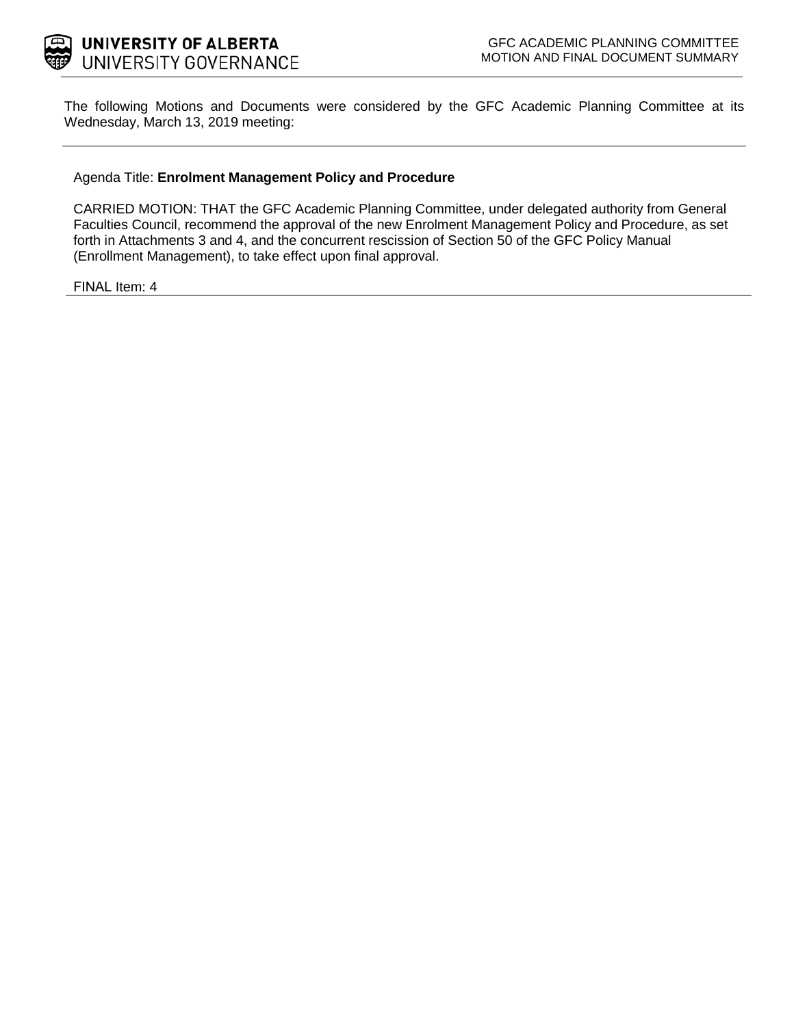

The following Motions and Documents were considered by the GFC Academic Planning Committee at its Wednesday, March 13, 2019 meeting:

#### Agenda Title: **Enrolment Management Policy and Procedure**

CARRIED MOTION: THAT the GFC Academic Planning Committee, under delegated authority from General Faculties Council, recommend the approval of the new Enrolment Management Policy and Procedure, as set forth in Attachments 3 and 4, and the concurrent rescission of Section 50 of the GFC Policy Manual (Enrollment Management), to take effect upon final approval.

FINAL Item: 4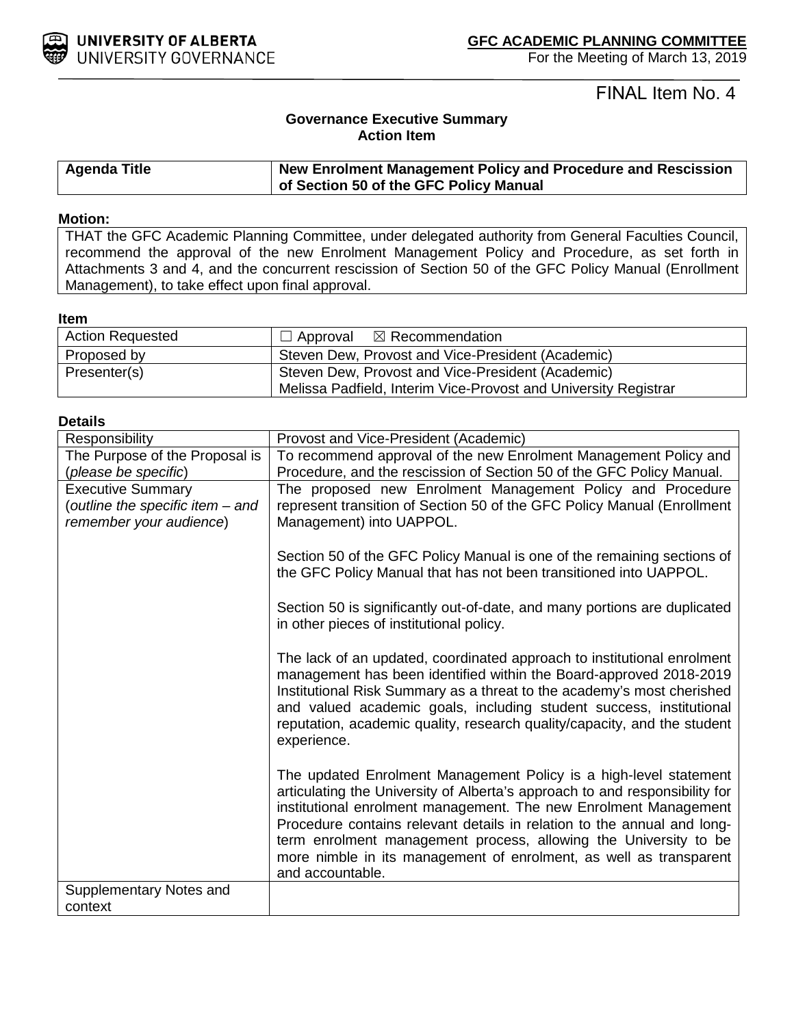

### FINAL Item No. 4

### **Governance Executive Summary Action Item**

| Agenda Title | New Enrolment Management Policy and Procedure and Rescission |
|--------------|--------------------------------------------------------------|
|              | of Section 50 of the GFC Policy Manual                       |

#### **Motion:**

THAT the GFC Academic Planning Committee, under delegated authority from General Faculties Council, recommend the approval of the new Enrolment Management Policy and Procedure, as set forth in Attachments 3 and 4, and the concurrent rescission of Section 50 of the GFC Policy Manual (Enrollment Management), to take effect upon final approval.

#### **Item**

| <b>Action Requested</b> | $\Box$ Approval $\boxtimes$ Recommendation                                                                           |
|-------------------------|----------------------------------------------------------------------------------------------------------------------|
| Proposed by             | Steven Dew, Provost and Vice-President (Academic)                                                                    |
| Presenter(s)            | Steven Dew, Provost and Vice-President (Academic)<br>Melissa Padfield, Interim Vice-Provost and University Registrar |

#### **Details**

| Responsibility                   | Provost and Vice-President (Academic)                                       |
|----------------------------------|-----------------------------------------------------------------------------|
| The Purpose of the Proposal is   | To recommend approval of the new Enrolment Management Policy and            |
| (please be specific)             | Procedure, and the rescission of Section 50 of the GFC Policy Manual.       |
| <b>Executive Summary</b>         | The proposed new Enrolment Management Policy and Procedure                  |
| (outline the specific item - and | represent transition of Section 50 of the GFC Policy Manual (Enrollment     |
| remember your audience)          | Management) into UAPPOL.                                                    |
|                                  |                                                                             |
|                                  | Section 50 of the GFC Policy Manual is one of the remaining sections of     |
|                                  | the GFC Policy Manual that has not been transitioned into UAPPOL.           |
|                                  |                                                                             |
|                                  |                                                                             |
|                                  | Section 50 is significantly out-of-date, and many portions are duplicated   |
|                                  | in other pieces of institutional policy.                                    |
|                                  |                                                                             |
|                                  | The lack of an updated, coordinated approach to institutional enrolment     |
|                                  | management has been identified within the Board-approved 2018-2019          |
|                                  | Institutional Risk Summary as a threat to the academy's most cherished      |
|                                  | and valued academic goals, including student success, institutional         |
|                                  | reputation, academic quality, research quality/capacity, and the student    |
|                                  | experience.                                                                 |
|                                  |                                                                             |
|                                  | The updated Enrolment Management Policy is a high-level statement           |
|                                  | articulating the University of Alberta's approach to and responsibility for |
|                                  | institutional enrolment management. The new Enrolment Management            |
|                                  | Procedure contains relevant details in relation to the annual and long-     |
|                                  | term enrolment management process, allowing the University to be            |
|                                  | more nimble in its management of enrolment, as well as transparent          |
|                                  | and accountable.                                                            |
| Supplementary Notes and          |                                                                             |
| context                          |                                                                             |
|                                  |                                                                             |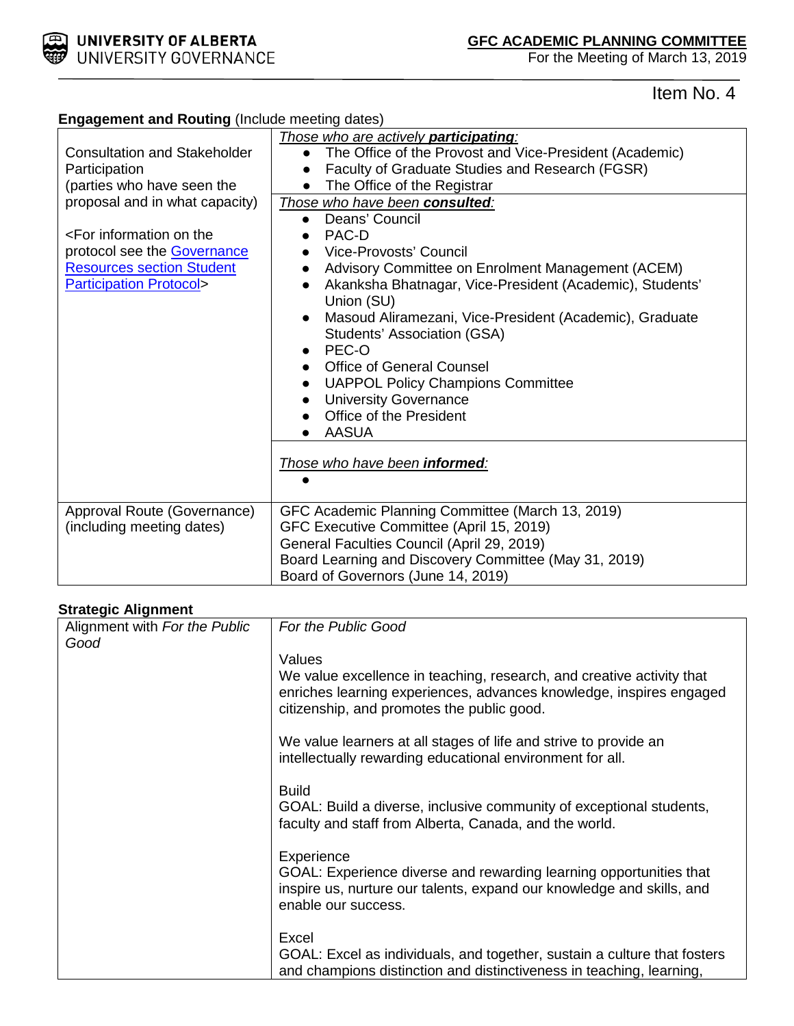

**Engagement and Routing** (Include meeting dates)

For the Meeting of March 13, 2019

## Item No. 4

| Consultation and Stakeholder<br>Participation                                                                                                                                             | <u>Those who are actively participating:</u><br>The Office of the Provost and Vice-President (Academic)<br>Faculty of Graduate Studies and Research (FGSR)                                                                                                                                                                                                                                                                                                                                                 |
|-------------------------------------------------------------------------------------------------------------------------------------------------------------------------------------------|------------------------------------------------------------------------------------------------------------------------------------------------------------------------------------------------------------------------------------------------------------------------------------------------------------------------------------------------------------------------------------------------------------------------------------------------------------------------------------------------------------|
| (parties who have seen the                                                                                                                                                                | The Office of the Registrar                                                                                                                                                                                                                                                                                                                                                                                                                                                                                |
| proposal and in what capacity)<br><for information="" on="" the<br="">protocol see the <b>Governance</b><br/><b>Resources section Student</b><br/><b>Participation Protocol&gt;</b></for> | Those who have been consulted:<br>Deans' Council<br>$\bullet$<br>PAC-D<br>Vice-Provosts' Council<br>Advisory Committee on Enrolment Management (ACEM)<br>Akanksha Bhatnagar, Vice-President (Academic), Students'<br>$\bullet$<br>Union (SU)<br>Masoud Aliramezani, Vice-President (Academic), Graduate<br>Students' Association (GSA)<br>PEC-O<br><b>Office of General Counsel</b><br><b>UAPPOL Policy Champions Committee</b><br><b>University Governance</b><br>Office of the President<br><b>AASUA</b> |
|                                                                                                                                                                                           | Those who have been informed:                                                                                                                                                                                                                                                                                                                                                                                                                                                                              |
| Approval Route (Governance)                                                                                                                                                               | GFC Academic Planning Committee (March 13, 2019)                                                                                                                                                                                                                                                                                                                                                                                                                                                           |
| (including meeting dates)                                                                                                                                                                 | GFC Executive Committee (April 15, 2019)<br>General Faculties Council (April 29, 2019)                                                                                                                                                                                                                                                                                                                                                                                                                     |
|                                                                                                                                                                                           | Board Learning and Discovery Committee (May 31, 2019)                                                                                                                                                                                                                                                                                                                                                                                                                                                      |
|                                                                                                                                                                                           | Board of Governors (June 14, 2019)                                                                                                                                                                                                                                                                                                                                                                                                                                                                         |

### **Strategic Alignment**

| Alignment with For the Public | For the Public Good                                                                                                                                                                        |
|-------------------------------|--------------------------------------------------------------------------------------------------------------------------------------------------------------------------------------------|
| Good                          |                                                                                                                                                                                            |
|                               | Values                                                                                                                                                                                     |
|                               | We value excellence in teaching, research, and creative activity that<br>enriches learning experiences, advances knowledge, inspires engaged<br>citizenship, and promotes the public good. |
|                               | We value learners at all stages of life and strive to provide an<br>intellectually rewarding educational environment for all.                                                              |
|                               | <b>Build</b><br>GOAL: Build a diverse, inclusive community of exceptional students,<br>faculty and staff from Alberta, Canada, and the world.                                              |
|                               | Experience<br>GOAL: Experience diverse and rewarding learning opportunities that<br>inspire us, nurture our talents, expand our knowledge and skills, and<br>enable our success.           |
|                               | Excel<br>GOAL: Excel as individuals, and together, sustain a culture that fosters<br>and champions distinction and distinctiveness in teaching, learning,                                  |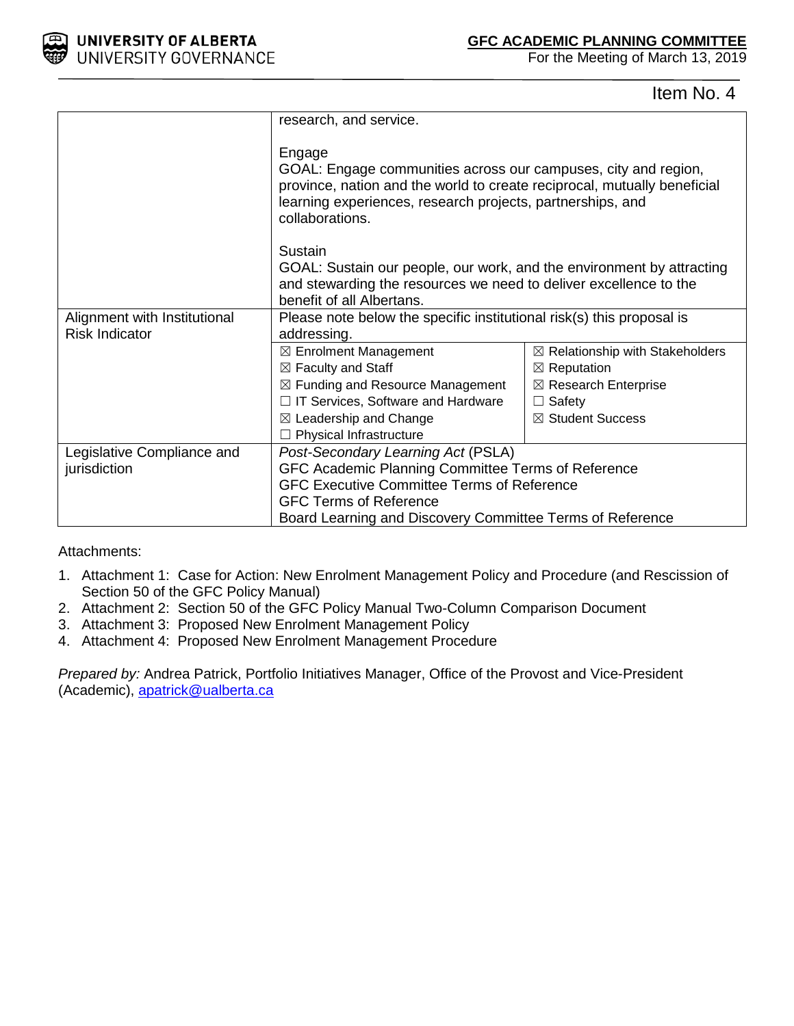

For the Meeting of March 13, 2019

Item No. 4

|                              | research, and service.                                                                                                                                                                                                                |                                            |  |
|------------------------------|---------------------------------------------------------------------------------------------------------------------------------------------------------------------------------------------------------------------------------------|--------------------------------------------|--|
|                              | Engage<br>GOAL: Engage communities across our campuses, city and region,<br>province, nation and the world to create reciprocal, mutually beneficial<br>learning experiences, research projects, partnerships, and<br>collaborations. |                                            |  |
|                              | Sustain                                                                                                                                                                                                                               |                                            |  |
|                              | GOAL: Sustain our people, our work, and the environment by attracting                                                                                                                                                                 |                                            |  |
|                              | and stewarding the resources we need to deliver excellence to the<br>benefit of all Albertans.                                                                                                                                        |                                            |  |
| Alignment with Institutional | Please note below the specific institutional risk(s) this proposal is                                                                                                                                                                 |                                            |  |
| <b>Risk Indicator</b>        | addressing.                                                                                                                                                                                                                           |                                            |  |
|                              | $\boxtimes$ Enrolment Management                                                                                                                                                                                                      | $\boxtimes$ Relationship with Stakeholders |  |
|                              | $\boxtimes$ Faculty and Staff                                                                                                                                                                                                         | $\boxtimes$ Reputation                     |  |
|                              | $\boxtimes$ Funding and Resource Management                                                                                                                                                                                           | $\boxtimes$ Research Enterprise            |  |
|                              | $\Box$ IT Services, Software and Hardware                                                                                                                                                                                             | $\Box$ Safety                              |  |
|                              | $\boxtimes$ Leadership and Change                                                                                                                                                                                                     | ⊠ Student Success                          |  |
|                              | $\Box$ Physical Infrastructure                                                                                                                                                                                                        |                                            |  |
| Legislative Compliance and   | Post-Secondary Learning Act (PSLA)                                                                                                                                                                                                    |                                            |  |
| jurisdiction                 | GFC Academic Planning Committee Terms of Reference                                                                                                                                                                                    |                                            |  |
|                              | <b>GFC Executive Committee Terms of Reference</b>                                                                                                                                                                                     |                                            |  |
|                              | <b>GFC Terms of Reference</b>                                                                                                                                                                                                         |                                            |  |
|                              | Board Learning and Discovery Committee Terms of Reference                                                                                                                                                                             |                                            |  |

Attachments:

- 1. Attachment 1: Case for Action: New Enrolment Management Policy and Procedure (and Rescission of Section 50 of the GFC Policy Manual)
- 2. Attachment 2: Section 50 of the GFC Policy Manual Two-Column Comparison Document
- 3. Attachment 3: Proposed New Enrolment Management Policy
- 4. Attachment 4: Proposed New Enrolment Management Procedure

*Prepared by:* Andrea Patrick, Portfolio Initiatives Manager, Office of the Provost and Vice-President (Academic), [apatrick@ualberta.ca](mailto:apatrick@ualberta.ca)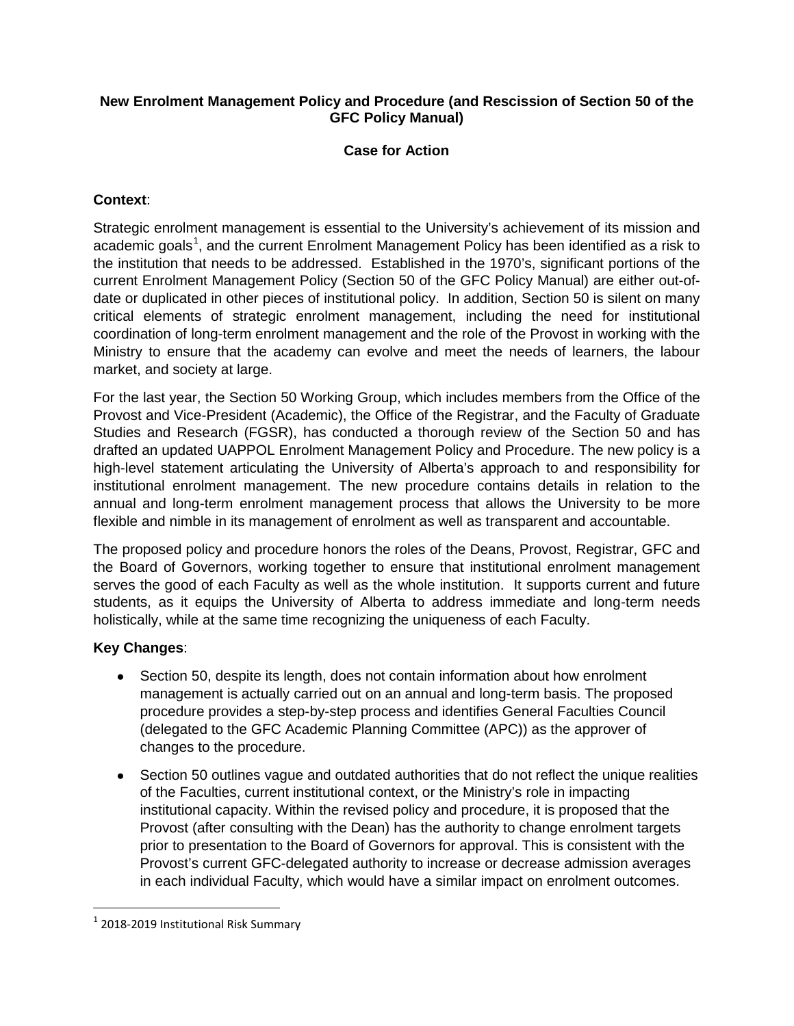### **New Enrolment Management Policy and Procedure (and Rescission of Section 50 of the GFC Policy Manual)**

### **Case for Action**

### **Context**:

Strategic enrolment management is essential to the University's achievement of its mission and academic goals<sup>[1](#page-4-0)</sup>, and the current Enrolment Management Policy has been identified as a risk to the institution that needs to be addressed. Established in the 1970's, significant portions of the current Enrolment Management Policy (Section 50 of the GFC Policy Manual) are either out-ofdate or duplicated in other pieces of institutional policy. In addition, Section 50 is silent on many critical elements of strategic enrolment management, including the need for institutional coordination of long-term enrolment management and the role of the Provost in working with the Ministry to ensure that the academy can evolve and meet the needs of learners, the labour market, and society at large.

For the last year, the Section 50 Working Group, which includes members from the Office of the Provost and Vice-President (Academic), the Office of the Registrar, and the Faculty of Graduate Studies and Research (FGSR), has conducted a thorough review of the Section 50 and has drafted an updated UAPPOL Enrolment Management Policy and Procedure. The new policy is a high-level statement articulating the University of Alberta's approach to and responsibility for institutional enrolment management. The new procedure contains details in relation to the annual and long-term enrolment management process that allows the University to be more flexible and nimble in its management of enrolment as well as transparent and accountable.

The proposed policy and procedure honors the roles of the Deans, Provost, Registrar, GFC and the Board of Governors, working together to ensure that institutional enrolment management serves the good of each Faculty as well as the whole institution. It supports current and future students, as it equips the University of Alberta to address immediate and long-term needs holistically, while at the same time recognizing the uniqueness of each Faculty.

### **Key Changes**:

- Section 50, despite its length, does not contain information about how enrolment management is actually carried out on an annual and long-term basis. The proposed procedure provides a step-by-step process and identifies General Faculties Council (delegated to the GFC Academic Planning Committee (APC)) as the approver of changes to the procedure.
- Section 50 outlines vague and outdated authorities that do not reflect the unique realities of the Faculties, current institutional context, or the Ministry's role in impacting institutional capacity. Within the revised policy and procedure, it is proposed that the Provost (after consulting with the Dean) has the authority to change enrolment targets prior to presentation to the Board of Governors for approval. This is consistent with the Provost's current GFC-delegated authority to increase or decrease admission averages in each individual Faculty, which would have a similar impact on enrolment outcomes.

<span id="page-4-0"></span> $1$  2018-2019 Institutional Risk Summary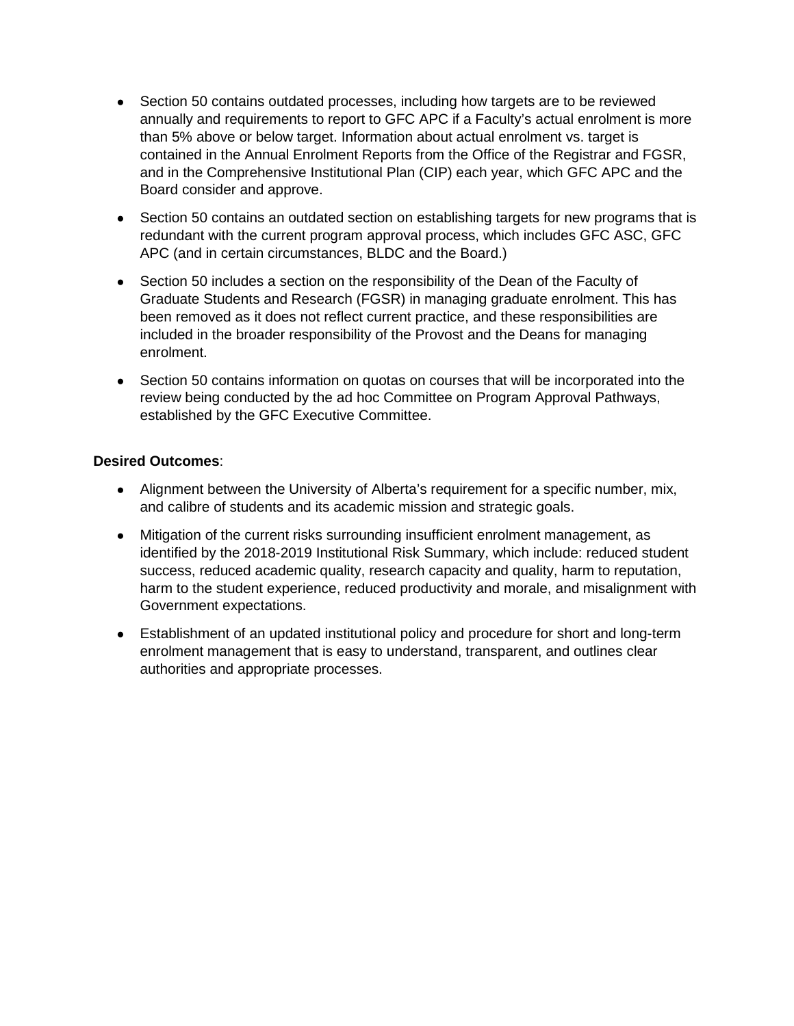- Section 50 contains outdated processes, including how targets are to be reviewed annually and requirements to report to GFC APC if a Faculty's actual enrolment is more than 5% above or below target. Information about actual enrolment vs. target is contained in the Annual Enrolment Reports from the Office of the Registrar and FGSR, and in the Comprehensive Institutional Plan (CIP) each year, which GFC APC and the Board consider and approve.
- Section 50 contains an outdated section on establishing targets for new programs that is redundant with the current program approval process, which includes GFC ASC, GFC APC (and in certain circumstances, BLDC and the Board.)
- Section 50 includes a section on the responsibility of the Dean of the Faculty of Graduate Students and Research (FGSR) in managing graduate enrolment. This has been removed as it does not reflect current practice, and these responsibilities are included in the broader responsibility of the Provost and the Deans for managing enrolment.
- Section 50 contains information on quotas on courses that will be incorporated into the review being conducted by the ad hoc Committee on Program Approval Pathways, established by the GFC Executive Committee.

### **Desired Outcomes**:

- Alignment between the University of Alberta's requirement for a specific number, mix, and calibre of students and its academic mission and strategic goals.
- Mitigation of the current risks surrounding insufficient enrolment management, as identified by the 2018-2019 Institutional Risk Summary, which include: reduced student success, reduced academic quality, research capacity and quality, harm to reputation, harm to the student experience, reduced productivity and morale, and misalignment with Government expectations.
- Establishment of an updated institutional policy and procedure for short and long-term enrolment management that is easy to understand, transparent, and outlines clear authorities and appropriate processes.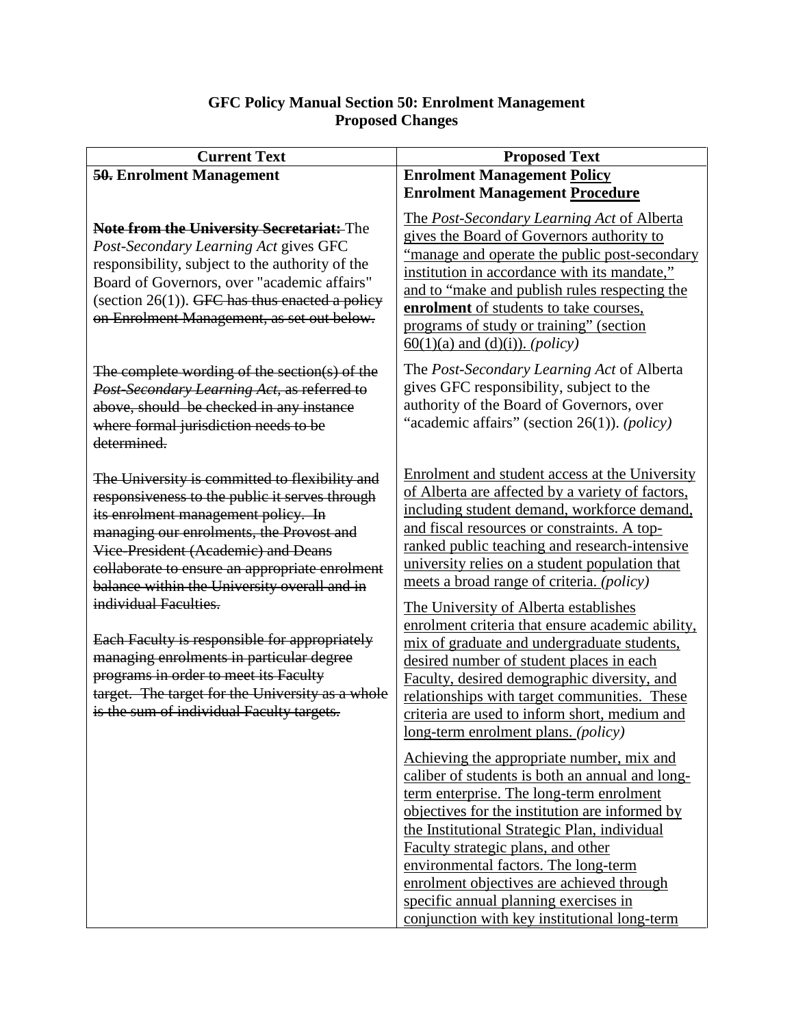### **GFC Policy Manual Section 50: Enrolment Management Proposed Changes**

| <b>Current Text</b>                                                                                                                                                                                                                                                                                                                                                                                                                                                                                                                                                                          | <b>Proposed Text</b>                                                                                                                                                                                                                                                                                                                                                                                                                                                                                                                                                                                                                                                                                                                                                                                                                                                                                                                                                                                                                                                                                                                                                                                            |
|----------------------------------------------------------------------------------------------------------------------------------------------------------------------------------------------------------------------------------------------------------------------------------------------------------------------------------------------------------------------------------------------------------------------------------------------------------------------------------------------------------------------------------------------------------------------------------------------|-----------------------------------------------------------------------------------------------------------------------------------------------------------------------------------------------------------------------------------------------------------------------------------------------------------------------------------------------------------------------------------------------------------------------------------------------------------------------------------------------------------------------------------------------------------------------------------------------------------------------------------------------------------------------------------------------------------------------------------------------------------------------------------------------------------------------------------------------------------------------------------------------------------------------------------------------------------------------------------------------------------------------------------------------------------------------------------------------------------------------------------------------------------------------------------------------------------------|
| 50. Enrolment Management                                                                                                                                                                                                                                                                                                                                                                                                                                                                                                                                                                     | <b>Enrolment Management Policy</b>                                                                                                                                                                                                                                                                                                                                                                                                                                                                                                                                                                                                                                                                                                                                                                                                                                                                                                                                                                                                                                                                                                                                                                              |
|                                                                                                                                                                                                                                                                                                                                                                                                                                                                                                                                                                                              | <b>Enrolment Management Procedure</b>                                                                                                                                                                                                                                                                                                                                                                                                                                                                                                                                                                                                                                                                                                                                                                                                                                                                                                                                                                                                                                                                                                                                                                           |
| <b>Note from the University Secretariat:</b> The<br>Post-Secondary Learning Act gives GFC<br>responsibility, subject to the authority of the<br>Board of Governors, over "academic affairs"<br>(section $26(1)$ ). GFC has thus enacted a policy<br>on Enrolment Management, as set out below.                                                                                                                                                                                                                                                                                               | The Post-Secondary Learning Act of Alberta<br>gives the Board of Governors authority to<br>"manage and operate the public post-secondary"<br>institution in accordance with its mandate,"<br>and to "make and publish rules respecting the<br>enrolment of students to take courses,<br>programs of study or training" (section<br>$\underline{60(1)(a)}$ and (d)(i)). ( <i>policy</i> )                                                                                                                                                                                                                                                                                                                                                                                                                                                                                                                                                                                                                                                                                                                                                                                                                        |
| The complete wording of the section(s) of the<br>Post-Secondary Learning Act, as referred to<br>above, should be checked in any instance<br>where formal jurisdiction needs to be<br>determined.                                                                                                                                                                                                                                                                                                                                                                                             | The Post-Secondary Learning Act of Alberta<br>gives GFC responsibility, subject to the<br>authority of the Board of Governors, over<br>"academic affairs" (section 26(1)). (policy)                                                                                                                                                                                                                                                                                                                                                                                                                                                                                                                                                                                                                                                                                                                                                                                                                                                                                                                                                                                                                             |
| The University is committed to flexibility and<br>responsiveness to the public it serves through<br>its enrolment management policy. In<br>managing our enrolments, the Provost and<br>Vice-President (Academic) and Deans<br>collaborate to ensure an appropriate enrolment<br>balance within the University overall and in<br>individual Faculties.<br>Each Faculty is responsible for appropriately<br>managing enrolments in particular degree<br>programs in order to meet its Faculty<br>target. The target for the University as a whole<br>is the sum of individual Faculty targets. | Enrolment and student access at the University<br>of Alberta are affected by a variety of factors,<br>including student demand, workforce demand,<br>and fiscal resources or constraints. A top-<br><u>ranked public teaching and research-intensive</u><br>university relies on a student population that<br>meets a broad range of criteria. (policy)<br>The University of Alberta establishes<br>enrolment criteria that ensure academic ability,<br>mix of graduate and undergraduate students,<br>desired number of student places in each<br>Faculty, desired demographic diversity, and<br>relationships with target communities. These<br>criteria are used to inform short, medium and<br><u>long-term enrolment plans. (policy)</u><br>Achieving the appropriate number, mix and<br>caliber of students is both an annual and long-<br>term enterprise. The long-term enrolment<br>objectives for the institution are informed by<br>the Institutional Strategic Plan, individual<br>Faculty strategic plans, and other<br>environmental factors. The long-term<br>enrolment objectives are achieved through<br>specific annual planning exercises in<br>conjunction with key institutional long-term |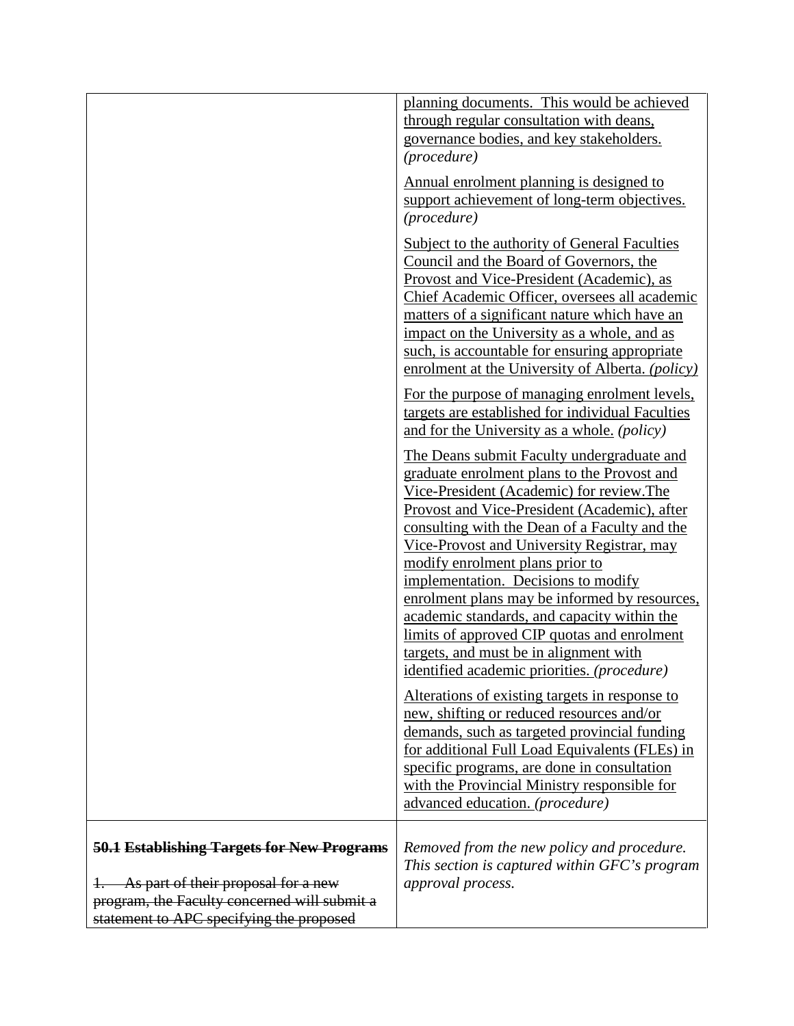|                                                                                                                                                                                      | planning documents. This would be achieved<br>through regular consultation with deans,<br>governance bodies, and key stakeholders.<br>(procedure)<br>Annual enrolment planning is designed to<br>support achievement of long-term objectives.<br>(procedure)<br>Subject to the authority of General Faculties<br>Council and the Board of Governors, the<br>Provost and Vice-President (Academic), as<br>Chief Academic Officer, oversees all academic<br>matters of a significant nature which have an<br>impact on the University as a whole, and as<br>such, is accountable for ensuring appropriate<br>enrolment at the University of Alberta. (policy)<br>For the purpose of managing enrolment levels,<br>targets are established for individual Faculties<br>and for the University as a whole. (policy)<br>The Deans submit Faculty undergraduate and<br>graduate enrolment plans to the Provost and<br>Vice-President (Academic) for review.The<br>Provost and Vice-President (Academic), after<br>consulting with the Dean of a Faculty and the<br>Vice-Provost and University Registrar, may<br>modify enrolment plans prior to<br>implementation. Decisions to modify<br>enrolment plans may be informed by resources,<br>academic standards, and capacity within the<br>limits of approved CIP quotas and enrolment<br>targets, and must be in alignment with<br>identified academic priorities. (procedure)<br><u>Alterations of existing targets in response to</u> |
|--------------------------------------------------------------------------------------------------------------------------------------------------------------------------------------|------------------------------------------------------------------------------------------------------------------------------------------------------------------------------------------------------------------------------------------------------------------------------------------------------------------------------------------------------------------------------------------------------------------------------------------------------------------------------------------------------------------------------------------------------------------------------------------------------------------------------------------------------------------------------------------------------------------------------------------------------------------------------------------------------------------------------------------------------------------------------------------------------------------------------------------------------------------------------------------------------------------------------------------------------------------------------------------------------------------------------------------------------------------------------------------------------------------------------------------------------------------------------------------------------------------------------------------------------------------------------------------------------------------------------------------------------------------------------------|
|                                                                                                                                                                                      | new, shifting or reduced resources and/or<br>demands, such as targeted provincial funding<br>for additional Full Load Equivalents (FLEs) in<br>specific programs, are done in consultation<br>with the Provincial Ministry responsible for<br>advanced education. (procedure)                                                                                                                                                                                                                                                                                                                                                                                                                                                                                                                                                                                                                                                                                                                                                                                                                                                                                                                                                                                                                                                                                                                                                                                                      |
| <b>50.1 Establishing Targets for New Programs</b><br>As part of their proposal for a new<br>program, the Faculty concerned will submit a<br>statement to APC specifying the proposed | Removed from the new policy and procedure.<br>This section is captured within GFC's program<br>approval process.                                                                                                                                                                                                                                                                                                                                                                                                                                                                                                                                                                                                                                                                                                                                                                                                                                                                                                                                                                                                                                                                                                                                                                                                                                                                                                                                                                   |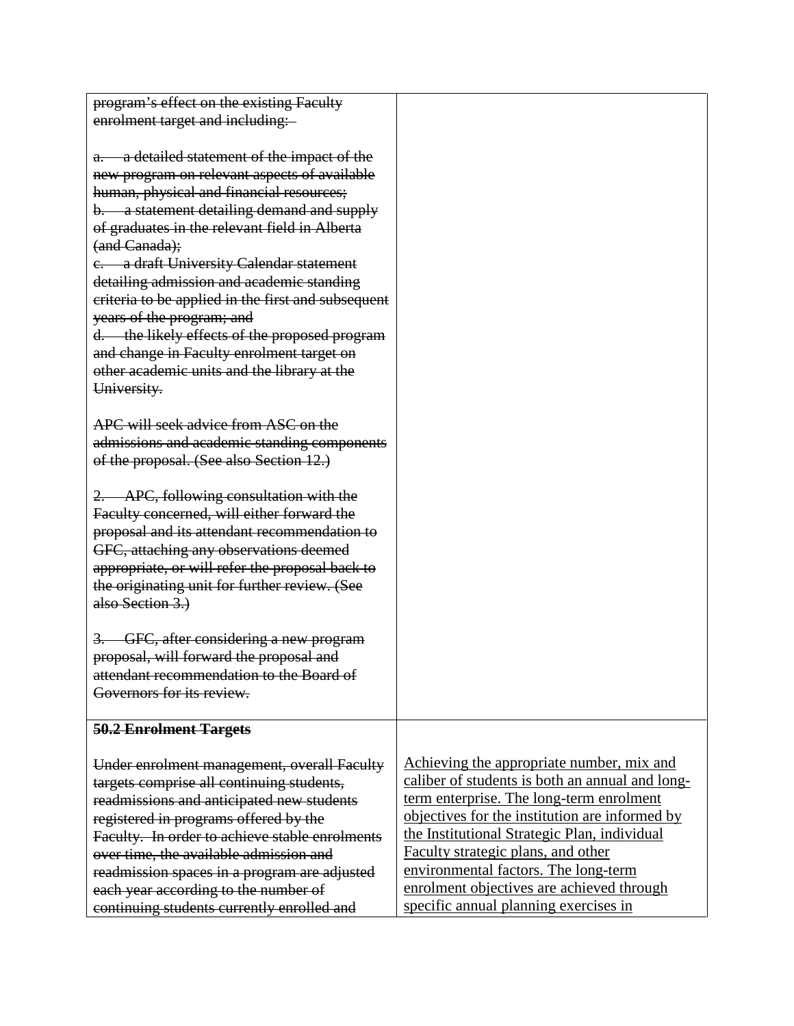| program's effect on the existing Faculty                                                       |  |
|------------------------------------------------------------------------------------------------|--|
|                                                                                                |  |
| enrolment target and including:                                                                |  |
|                                                                                                |  |
| a detailed statement of the impact of the<br>$a -$                                             |  |
| new program on relevant aspects of available<br>human, physical and financial resources;       |  |
|                                                                                                |  |
| b. a statement detailing demand and supply<br>of graduates in the relevant field in Alberta    |  |
| (and Canada);                                                                                  |  |
| e. a draft University Calendar statement                                                       |  |
| detailing admission and academic standing                                                      |  |
| criteria to be applied in the first and subsequent                                             |  |
| years of the program; and                                                                      |  |
| the likely effects of the proposed program<br>$d-$                                             |  |
| and change in Faculty enrolment target on                                                      |  |
| other academic units and the library at the                                                    |  |
| University.                                                                                    |  |
|                                                                                                |  |
| APC will seek advice from ASC on the                                                           |  |
| admissions and academic standing components                                                    |  |
| of the proposal. (See also Section 12.)                                                        |  |
|                                                                                                |  |
| APC, following consultation with the                                                           |  |
| Faculty concerned, will either forward the                                                     |  |
| proposal and its attendant recommendation to                                                   |  |
| GFC, attaching any observations deemed                                                         |  |
| appropriate, or will refer the proposal back to                                                |  |
| the originating unit for further review. (See                                                  |  |
| also Section 3.)                                                                               |  |
| GFC, after considering a new program                                                           |  |
| proposal, will forward the proposal and                                                        |  |
| attendant recommendation to the Board of                                                       |  |
| Governors for its review.                                                                      |  |
|                                                                                                |  |
| 50.2 Enrolment Targets                                                                         |  |
|                                                                                                |  |
| Achieving the appropriate number, mix and<br>Under enrolment management, overall Faculty       |  |
| caliber of students is both an annual and long-<br>targets comprise all continuing students,   |  |
| term enterprise. The long-term enrolment<br>readmissions and anticipated new students          |  |
| objectives for the institution are informed by<br>registered in programs offered by the        |  |
| the Institutional Strategic Plan, individual<br>Faculty. In order to achieve stable enrolments |  |
| Faculty strategic plans, and other<br>over time, the available admission and                   |  |
| environmental factors. The long-term<br>readmission spaces in a program are adjusted           |  |
| enrolment objectives are achieved through<br>each year according to the number of              |  |
| specific annual planning exercises in<br>continuing students currently enrolled and            |  |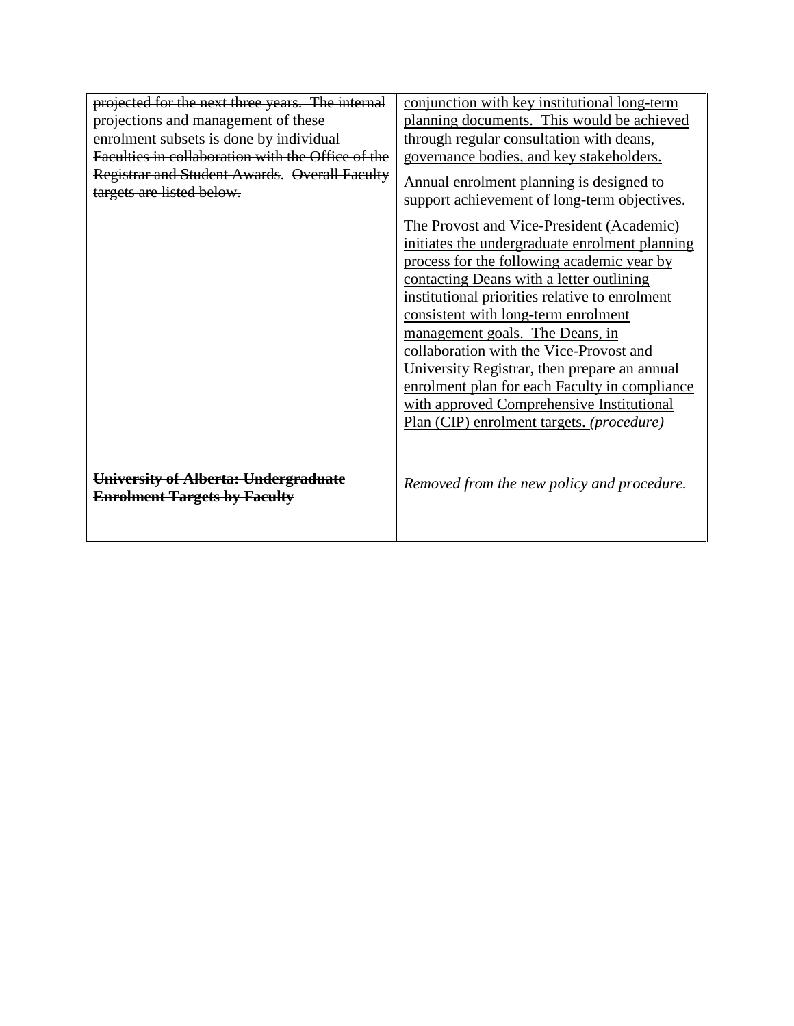| projected for the next three years. The internal                            | conjunction with key institutional long-term                                                                                                                                                                                                                                                                                                                                                                                                                                                                                                                                                                                                        |
|-----------------------------------------------------------------------------|-----------------------------------------------------------------------------------------------------------------------------------------------------------------------------------------------------------------------------------------------------------------------------------------------------------------------------------------------------------------------------------------------------------------------------------------------------------------------------------------------------------------------------------------------------------------------------------------------------------------------------------------------------|
| projections and management of these                                         | planning documents. This would be achieved                                                                                                                                                                                                                                                                                                                                                                                                                                                                                                                                                                                                          |
| enrolment subsets is done by individual                                     | through regular consultation with deans,                                                                                                                                                                                                                                                                                                                                                                                                                                                                                                                                                                                                            |
| Faculties in collaboration with the Office of the                           | governance bodies, and key stakeholders.                                                                                                                                                                                                                                                                                                                                                                                                                                                                                                                                                                                                            |
| Registrar and Student Awards. Overall Faculty<br>targets are listed below.  | Annual enrolment planning is designed to<br>support achievement of long-term objectives.<br>The Provost and Vice-President (Academic)<br>initiates the undergraduate enrolment planning<br>process for the following academic year by<br>contacting Deans with a letter outlining<br>institutional priorities relative to enrolment<br>consistent with long-term enrolment<br>management goals. The Deans, in<br>collaboration with the Vice-Provost and<br>University Registrar, then prepare an annual<br>enrolment plan for each Faculty in compliance<br>with approved Comprehensive Institutional<br>Plan (CIP) enrolment targets. (procedure) |
| University of Alberta: Undergraduate<br><b>Enrolment Targets by Faculty</b> | Removed from the new policy and procedure.                                                                                                                                                                                                                                                                                                                                                                                                                                                                                                                                                                                                          |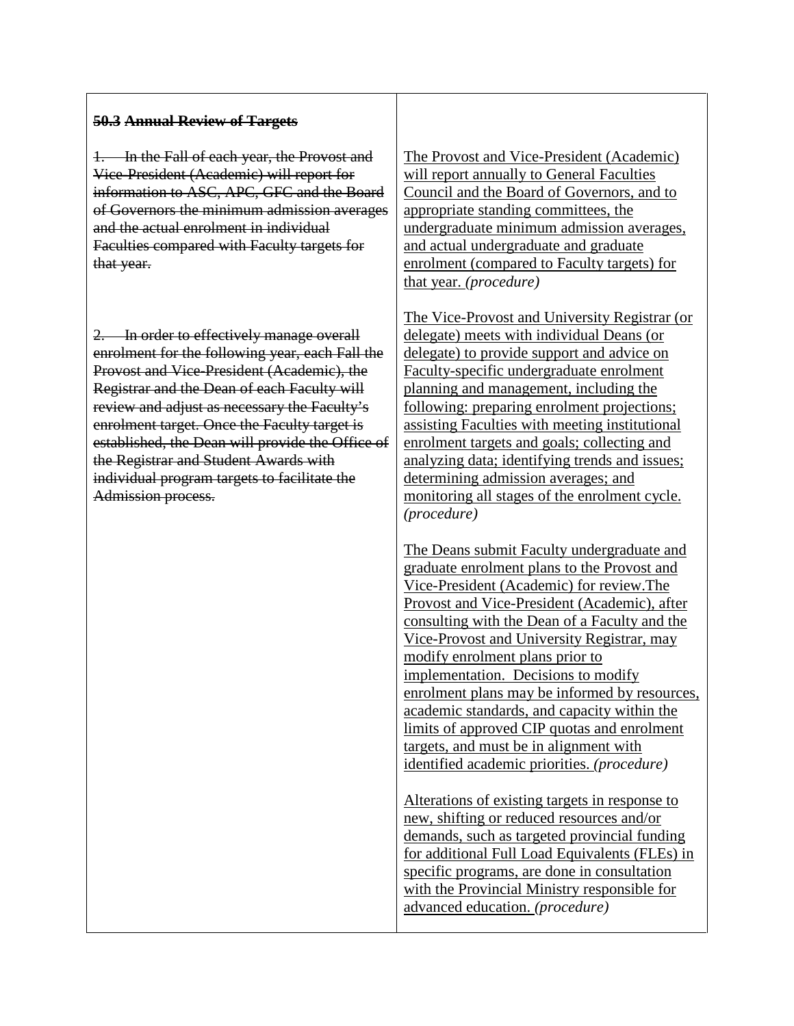### **50.3 Annual Review of Targets**

1. In the Fall of each year, the Provost and Vice-President (Academic) will report for information to ASC, APC, GFC and the Board of Governors the minimum admission averages and the actual enrolment in individual Faculties compared with Faculty targets for that year.

2. In order to effectively manage overall enrolment for the following year, each Fall the Provost and Vice-President (Academic), the Registrar and the Dean of each Faculty will review and adjust as necessary the Faculty's enrolment target. Once the Faculty target is established, the Dean will provide the Office of the Registrar and Student Awards with individual program targets to facilitate the Admission process.

The Provost and Vice-President (Academic) will report annually to General Faculties Council and the Board of Governors, and to appropriate standing committees, the undergraduate minimum admission averages, and actual undergraduate and graduate enrolment (compared to Faculty targets) for that year. *(procedure)*

The Vice-Provost and University Registrar (or delegate) meets with individual Deans (or delegate) to provide support and advice on Faculty-specific undergraduate enrolment planning and management, including the following: preparing enrolment projections; assisting Faculties with meeting institutional enrolment targets and goals; collecting and analyzing data; identifying trends and issues; determining admission averages; and monitoring all stages of the enrolment cycle. *(procedure)*

The Deans submit Faculty undergraduate and graduate enrolment plans to the Provost and Vice-President (Academic) for review.The Provost and Vice-President (Academic), after consulting with the Dean of a Faculty and the Vice-Provost and University Registrar, may modify enrolment plans prior to implementation. Decisions to modify enrolment plans may be informed by resources, academic standards, and capacity within the limits of approved CIP quotas and enrolment targets, and must be in alignment with identified academic priorities. *(procedure)*

Alterations of existing targets in response to new, shifting or reduced resources and/or demands, such as targeted provincial funding for additional Full Load Equivalents (FLEs) in specific programs, are done in consultation with the Provincial Ministry responsible for advanced education. *(procedure)*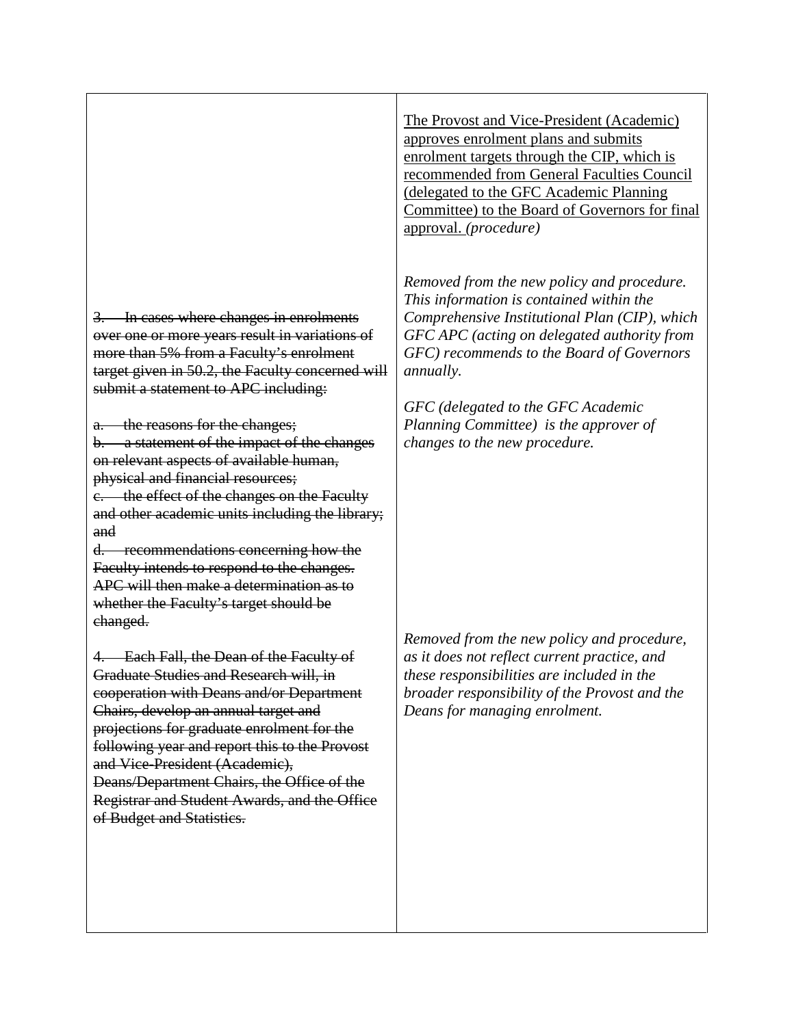In cases where changes in enrolments over one or more years result in variations of more than 5% from a Faculty's enrolment target given in 50.2, the Faculty concerned will submit a statement to APC including:

a. the reasons for the changes;

b. a statement of the impact of the changes on relevant aspects of available human, physical and financial resources;

c. the effect of the changes on the Faculty and other academic units including the library; and

d. recommendations concerning how the Faculty intends to respond to the changes. APC will then make a determination as to whether the Faculty's target should be changed.

4. Each Fall, the Dean of the Faculty of Graduate Studies and Research will, in cooperation with Deans and/or Department Chairs, develop an annual target and projections for graduate enrolment for the following year and report this to the Provost and Vice-President (Academic), Deans/Department Chairs, the Office of the Registrar and Student Awards, and the Office of Budget and Statistics.

The Provost and Vice-President (Academic) approves enrolment plans and submits enrolment targets through the CIP, which is recommended from General Faculties Council (delegated to the GFC Academic Planning Committee) to the Board of Governors for final approval. *(procedure)*

*Removed from the new policy and procedure. This information is contained within the Comprehensive Institutional Plan (CIP), which GFC APC (acting on delegated authority from GFC) recommends to the Board of Governors annually.*

*GFC (delegated to the GFC Academic Planning Committee) is the approver of changes to the new procedure.*

*Removed from the new policy and procedure, as it does not reflect current practice, and these responsibilities are included in the broader responsibility of the Provost and the Deans for managing enrolment.*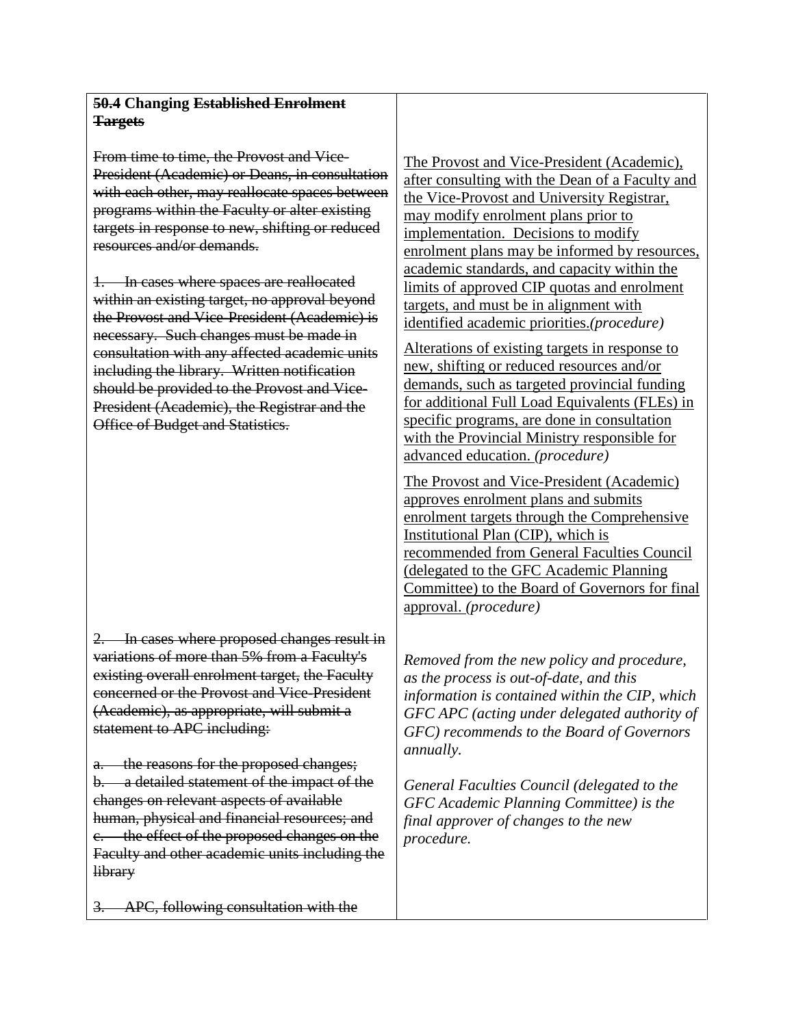### **50.4 Changing Established Enrolment Targets**

From time to time, the Provost and Vice-President (Academic) or Deans, in consultation with each other, may reallocate spaces between programs within the Faculty or alter existing targets in response to new, shifting or reduced resources and/or demands.

1. In cases where spaces are reallocated within an existing target, no approval beyond the Provost and Vice-President (Academic) is necessary. Such changes must be made in consultation with any affected academic units including the library. Written notification should be provided to the Provost and Vice-President (Academic), the Registrar and the Office of Budget and Statistics.

2. In cases where proposed changes result in variations of more than 5% from a Faculty's existing overall enrolment target, the Faculty concerned or the Provost and Vice-President (Academic), as appropriate, will submit a statement to APC including:

a. the reasons for the proposed changes; b. a detailed statement of the impact of the changes on relevant aspects of available human, physical and financial resources; and c. the effect of the proposed changes on the Faculty and other academic units including the library

The Provost and Vice-President (Academic), after consulting with the Dean of a Faculty and the Vice-Provost and University Registrar, may modify enrolment plans prior to implementation. Decisions to modify enrolment plans may be informed by resources, academic standards, and capacity within the limits of approved CIP quotas and enrolment targets, and must be in alignment with identified academic priorities.*(procedure)*

Alterations of existing targets in response to new, shifting or reduced resources and/or demands, such as targeted provincial funding for additional Full Load Equivalents (FLEs) in specific programs, are done in consultation with the Provincial Ministry responsible for advanced education. *(procedure)*

The Provost and Vice-President (Academic) approves enrolment plans and submits enrolment targets through the Comprehensive Institutional Plan (CIP), which is recommended from General Faculties Council (delegated to the GFC Academic Planning Committee) to the Board of Governors for final approval. *(procedure)*

*Removed from the new policy and procedure, as the process is out-of-date, and this information is contained within the CIP, which GFC APC (acting under delegated authority of GFC) recommends to the Board of Governors annually.* 

*General Faculties Council (delegated to the GFC Academic Planning Committee) is the final approver of changes to the new procedure.*

APC, following consultation with the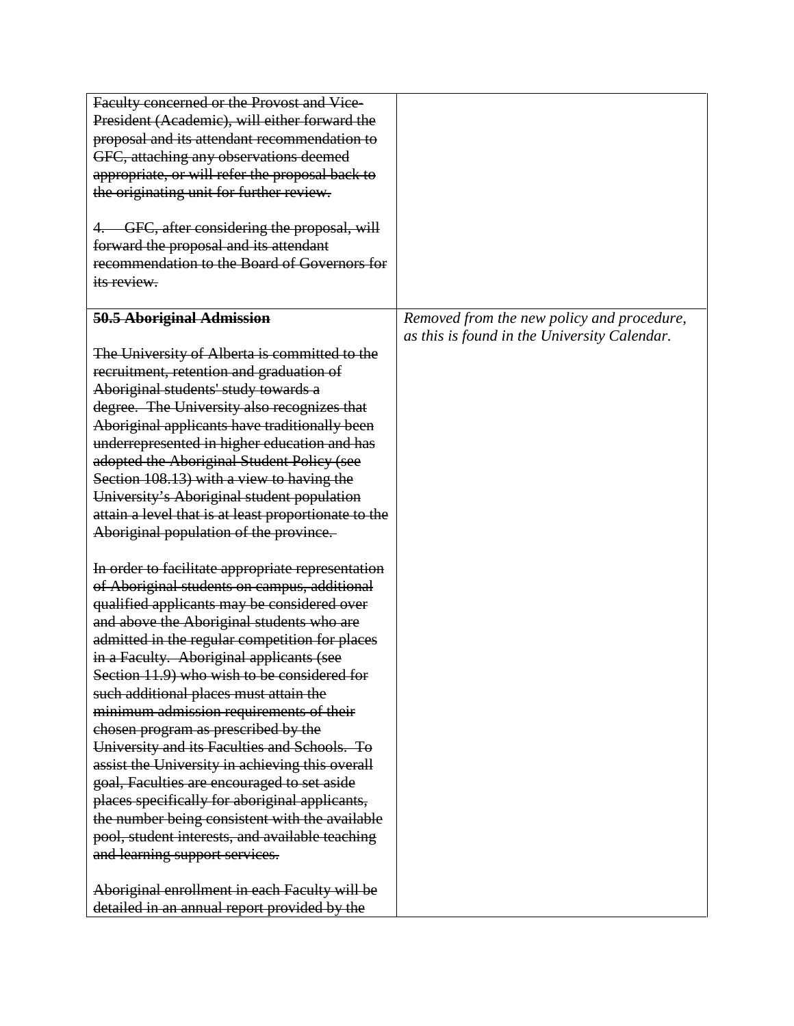| Faculty concerned or the Provost and Vice-           |                                              |
|------------------------------------------------------|----------------------------------------------|
| President (Academic), will either forward the        |                                              |
| proposal and its attendant recommendation to         |                                              |
| GFC, attaching any observations deemed               |                                              |
| appropriate, or will refer the proposal back to      |                                              |
| the originating unit for further review.             |                                              |
|                                                      |                                              |
| GFC, after considering the proposal, will            |                                              |
| forward the proposal and its attendant               |                                              |
| recommendation to the Board of Governors for         |                                              |
| its review.                                          |                                              |
|                                                      |                                              |
| 50.5 Aboriginal Admission                            | Removed from the new policy and procedure,   |
|                                                      | as this is found in the University Calendar. |
| The University of Alberta is committed to the        |                                              |
| recruitment, retention and graduation of             |                                              |
| Aboriginal students' study towards a                 |                                              |
| degree. The University also recognizes that          |                                              |
| Aboriginal applicants have traditionally been        |                                              |
| underrepresented in higher education and has         |                                              |
| adopted the Aboriginal Student Policy (see           |                                              |
| Section 108.13) with a view to having the            |                                              |
| University's Aboriginal student population           |                                              |
| attain a level that is at least proportionate to the |                                              |
| Aboriginal population of the province.               |                                              |
|                                                      |                                              |
| In order to facilitate appropriate representation    |                                              |
| of Aboriginal students on campus, additional         |                                              |
| qualified applicants may be considered over          |                                              |
| and above the Aboriginal students who are            |                                              |
| admitted in the regular competition for places       |                                              |
| in a Faculty. Aboriginal applicants (see             |                                              |
| Section 11.9) who wish to be considered for          |                                              |
| such additional places must attain the               |                                              |
| minimum admission requirements of their              |                                              |
| chosen program as prescribed by the                  |                                              |
| University and its Faculties and Schools. To         |                                              |
| assist the University in achieving this overall      |                                              |
| goal, Faculties are encouraged to set aside          |                                              |
| places specifically for aboriginal applicants,       |                                              |
| the number being consistent with the available       |                                              |
| pool, student interests, and available teaching      |                                              |
| and learning support services.                       |                                              |
|                                                      |                                              |
| Aboriginal enrollment in each Faculty will be        |                                              |
| detailed in an annual report provided by the         |                                              |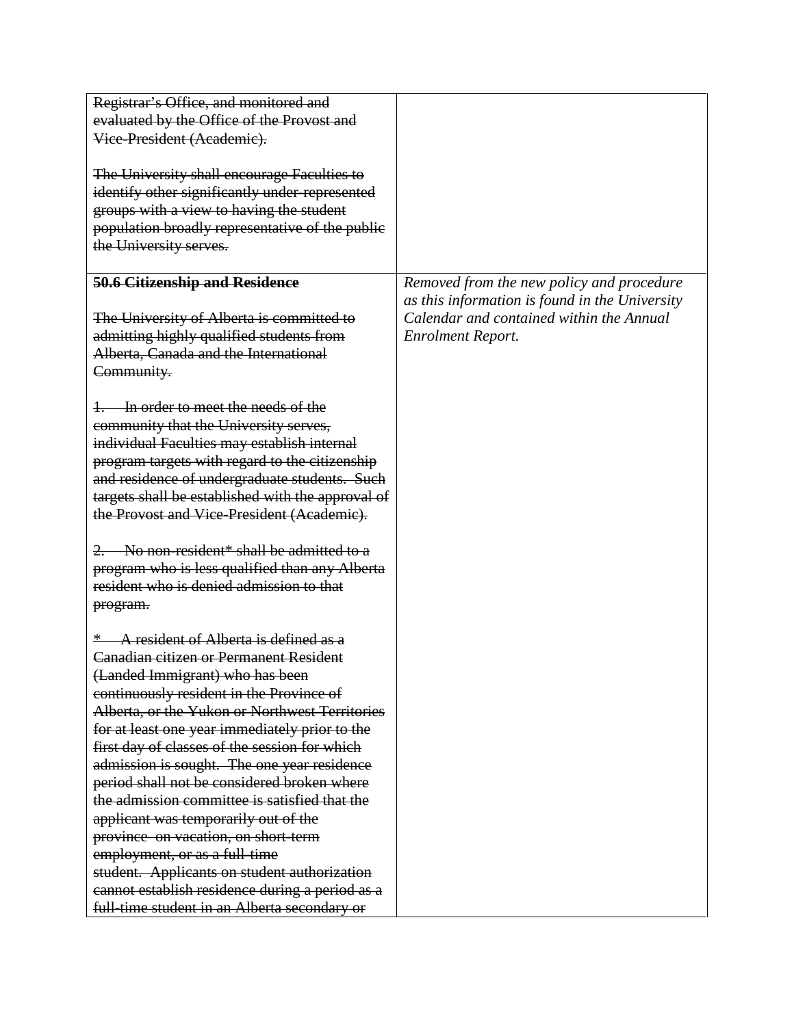| Registrar's Office, and monitored and             |                                                |
|---------------------------------------------------|------------------------------------------------|
| evaluated by the Office of the Provost and        |                                                |
| Vice-President (Academic).                        |                                                |
|                                                   |                                                |
| The University shall encourage Faculties to       |                                                |
| identify other significantly under-represented    |                                                |
| groups with a view to having the student          |                                                |
| population broadly representative of the public   |                                                |
| the University serves.                            |                                                |
|                                                   |                                                |
| <b>50.6 Citizenship and Residence</b>             | Removed from the new policy and procedure      |
|                                                   | as this information is found in the University |
| The University of Alberta is committed to         | Calendar and contained within the Annual       |
| admitting highly qualified students from          | <b>Enrolment Report.</b>                       |
| Alberta, Canada and the International             |                                                |
|                                                   |                                                |
| Community.                                        |                                                |
| In order to meet the needs of the                 |                                                |
|                                                   |                                                |
| community that the University serves,             |                                                |
| individual Faculties may establish internal       |                                                |
| program targets with regard to the citizenship    |                                                |
| and residence of undergraduate students. Such     |                                                |
| targets shall be established with the approval of |                                                |
| the Provost and Vice-President (Academic).        |                                                |
|                                                   |                                                |
| 2. No non-resident* shall be admitted to a        |                                                |
| program who is less qualified than any Alberta    |                                                |
| resident who is denied admission to that          |                                                |
| program.                                          |                                                |
|                                                   |                                                |
| A resident of Alberta is defined as a             |                                                |
| Canadian citizen or Permanent Resident            |                                                |
| (Landed Immigrant) who has been                   |                                                |
| continuously resident in the Province of          |                                                |
| Alberta, or the Yukon or Northwest Territories    |                                                |
| for at least one year immediately prior to the    |                                                |
| first day of classes of the session for which     |                                                |
| admission is sought. The one year residence       |                                                |
| period shall not be considered broken where       |                                                |
| the admission committee is satisfied that the     |                                                |
| applicant was temporarily out of the              |                                                |
| province on vacation, on short-term               |                                                |
| employment, or as a full-time                     |                                                |
| student. Applicants on student authorization      |                                                |
| cannot establish residence during a period as a   |                                                |
| full-time student in an Alberta secondary or      |                                                |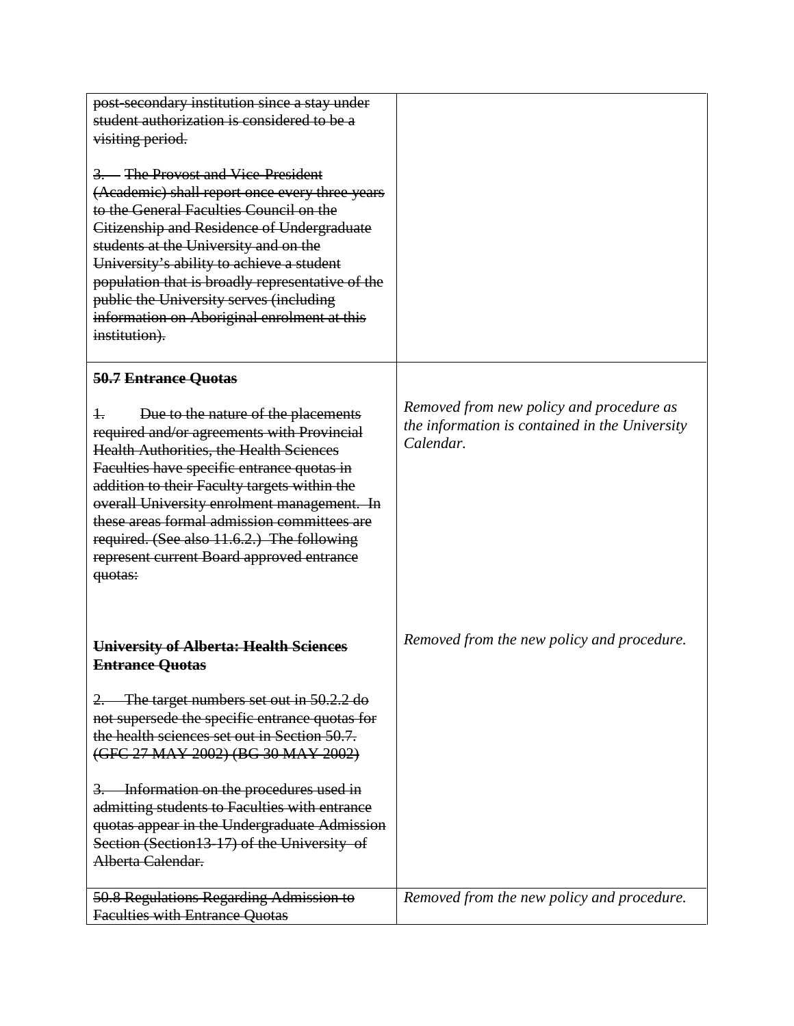| post-secondary institution since a stay under<br>student authorization is considered to be a<br>visiting period.<br>3. The Provost and Vice-President<br>(Academic) shall report once every three years<br>to the General Faculties Council on the<br>Citizenship and Residence of Undergraduate<br>students at the University and on the<br>University's ability to achieve a student<br>population that is broadly representative of the<br>public the University serves (including<br>information on Aboriginal enrolment at this<br>institution). |                                                                                                         |
|-------------------------------------------------------------------------------------------------------------------------------------------------------------------------------------------------------------------------------------------------------------------------------------------------------------------------------------------------------------------------------------------------------------------------------------------------------------------------------------------------------------------------------------------------------|---------------------------------------------------------------------------------------------------------|
| 50.7 Entrance Quotas                                                                                                                                                                                                                                                                                                                                                                                                                                                                                                                                  |                                                                                                         |
| Due to the nature of the placements<br>ł.<br>required and/or agreements with Provincial<br><b>Health Authorities, the Health Sciences</b><br>Faculties have specific entrance quotas in<br>addition to their Faculty targets within the<br>overall University enrolment management. In<br>these areas formal admission committees are<br>required. (See also 11.6.2.) The following<br>represent current Board approved entrance<br>quotas:                                                                                                           | Removed from new policy and procedure as<br>the information is contained in the University<br>Calendar. |
| University of Alberta: Health Sciences<br><b>Entrance Quotas</b>                                                                                                                                                                                                                                                                                                                                                                                                                                                                                      | Removed from the new policy and procedure.                                                              |
| The target numbers set out in 50.2.2 do<br>2.<br>not supersede the specific entrance quotas for<br>the health sciences set out in Section 50.7.<br>(GFC 27 MAY 2002) (BG 30 MAY 2002)                                                                                                                                                                                                                                                                                                                                                                 |                                                                                                         |
| Information on the procedures used in<br>3.<br>admitting students to Faculties with entrance<br>quotas appear in the Undergraduate Admission<br>Section (Section 13-17) of the University of<br>Alberta Calendar.                                                                                                                                                                                                                                                                                                                                     |                                                                                                         |
| 50.8 Regulations Regarding Admission to<br><b>Faculties with Entrance Quotas</b>                                                                                                                                                                                                                                                                                                                                                                                                                                                                      | Removed from the new policy and procedure.                                                              |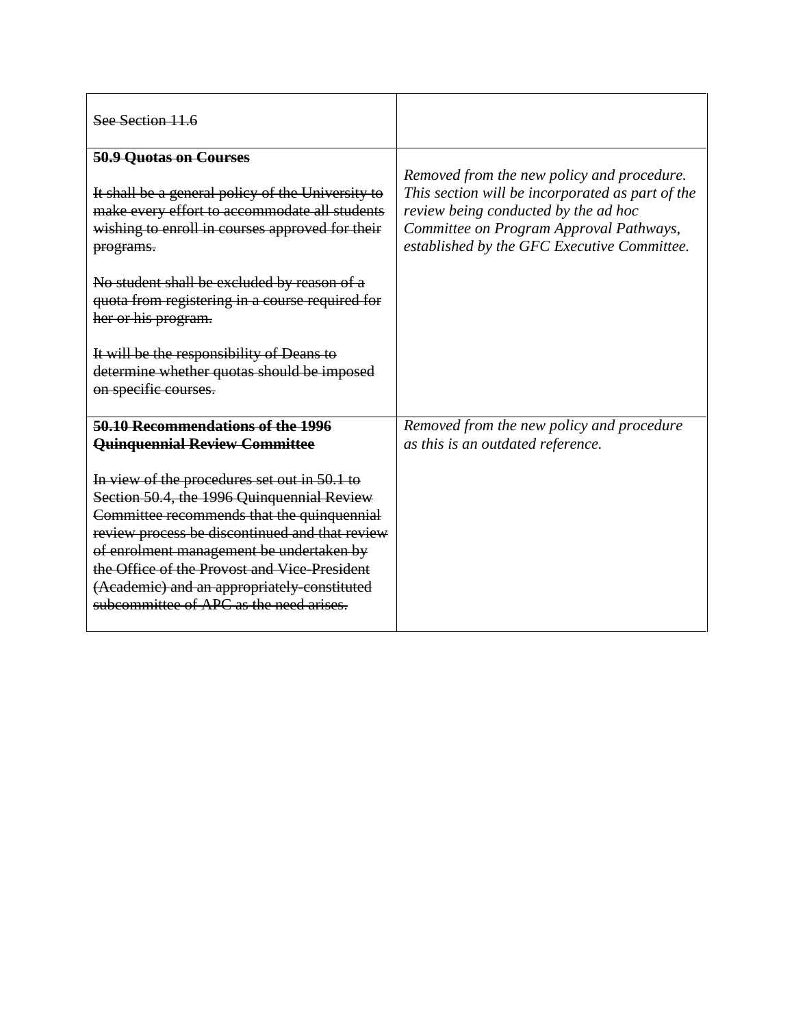| See Section 11.6                                                                                                                                                                                                                                                                                                                                                                 |                                                                                                                                                                                                                                  |
|----------------------------------------------------------------------------------------------------------------------------------------------------------------------------------------------------------------------------------------------------------------------------------------------------------------------------------------------------------------------------------|----------------------------------------------------------------------------------------------------------------------------------------------------------------------------------------------------------------------------------|
| 50.9 Quotas on Courses                                                                                                                                                                                                                                                                                                                                                           |                                                                                                                                                                                                                                  |
| It shall be a general policy of the University to<br>make every effort to accommodate all students<br>wishing to enroll in courses approved for their<br>programs.                                                                                                                                                                                                               | Removed from the new policy and procedure.<br>This section will be incorporated as part of the<br>review being conducted by the ad hoc<br>Committee on Program Approval Pathways,<br>established by the GFC Executive Committee. |
| No student shall be excluded by reason of a<br>quota from registering in a course required for<br>her or his program.                                                                                                                                                                                                                                                            |                                                                                                                                                                                                                                  |
| It will be the responsibility of Deans to<br>determine whether quotas should be imposed<br>on specific courses.                                                                                                                                                                                                                                                                  |                                                                                                                                                                                                                                  |
| 50.10 Recommendations of the 1996<br>Quinquennial Review Committee                                                                                                                                                                                                                                                                                                               | Removed from the new policy and procedure<br>as this is an outdated reference.                                                                                                                                                   |
| In view of the procedures set out in 50.1 to<br>Section 50.4, the 1996 Quinquennial Review<br>Committee recommends that the quinquennial<br>review process be discontinued and that review<br>of enrolment management be undertaken by<br>the Office of the Provost and Vice-President<br>(Academic) and an appropriately constituted<br>subcommittee of APC as the need arises. |                                                                                                                                                                                                                                  |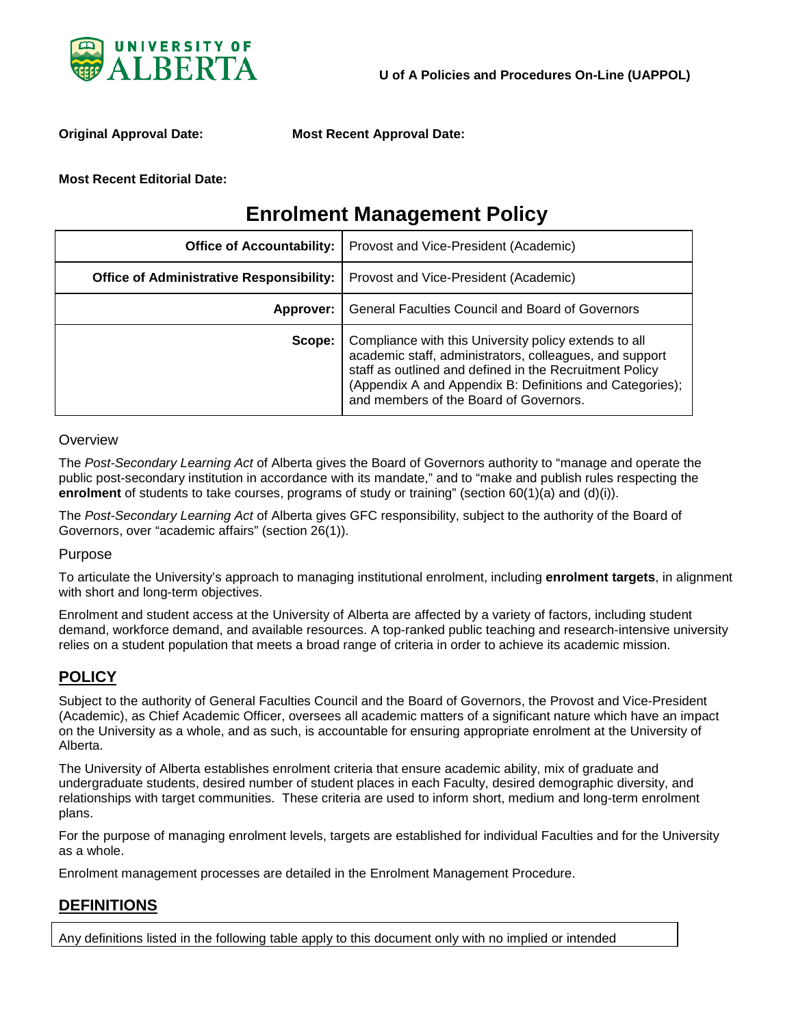

**Original Approval Date: Most Recent Approval Date:** 

#### **Most Recent Editorial Date:**

# **Enrolment Management Policy**

| <b>Office of Accountability:</b>                | Provost and Vice-President (Academic)                                                                                                                                                                                                                                             |
|-------------------------------------------------|-----------------------------------------------------------------------------------------------------------------------------------------------------------------------------------------------------------------------------------------------------------------------------------|
| <b>Office of Administrative Responsibility:</b> | Provost and Vice-President (Academic)                                                                                                                                                                                                                                             |
| Approver:                                       | General Faculties Council and Board of Governors                                                                                                                                                                                                                                  |
| Scope:                                          | Compliance with this University policy extends to all<br>academic staff, administrators, colleagues, and support<br>staff as outlined and defined in the Recruitment Policy<br>(Appendix A and Appendix B: Definitions and Categories);<br>and members of the Board of Governors. |

#### **Overview**

The *Post-Secondary Learning Act* of Alberta gives the Board of Governors authority to "manage and operate the public post-secondary institution in accordance with its mandate," and to "make and publish rules respecting the **enrolment** of students to take courses, programs of study or training" (section 60(1)(a) and (d)(i)).

The *Post-Secondary Learning Act* of Alberta gives GFC responsibility, subject to the authority of the Board of Governors, over "academic affairs" (section 26(1)).

#### Purpose

To articulate the University's approach to managing institutional enrolment, including **enrolment targets**, in alignment with short and long-term objectives.

Enrolment and student access at the University of Alberta are affected by a variety of factors, including student demand, workforce demand, and available resources. A top-ranked public teaching and research-intensive university relies on a student population that meets a broad range of criteria in order to achieve its academic mission.

### **POLICY**

Subject to the authority of General Faculties Council and the Board of Governors, the Provost and Vice-President (Academic), as Chief Academic Officer, oversees all academic matters of a significant nature which have an impact on the University as a whole, and as such, is accountable for ensuring appropriate enrolment at the University of Alberta.

The University of Alberta establishes enrolment criteria that ensure academic ability, mix of graduate and undergraduate students, desired number of student places in each Faculty, desired demographic diversity, and relationships with target communities. These criteria are used to inform short, medium and long-term enrolment plans.

For the purpose of managing enrolment levels, targets are established for individual Faculties and for the University as a whole.

Enrolment management processes are detailed in the Enrolment Management Procedure.

### **DEFINITIONS**

Any definitions listed in the following table apply to this document only with no implied or intended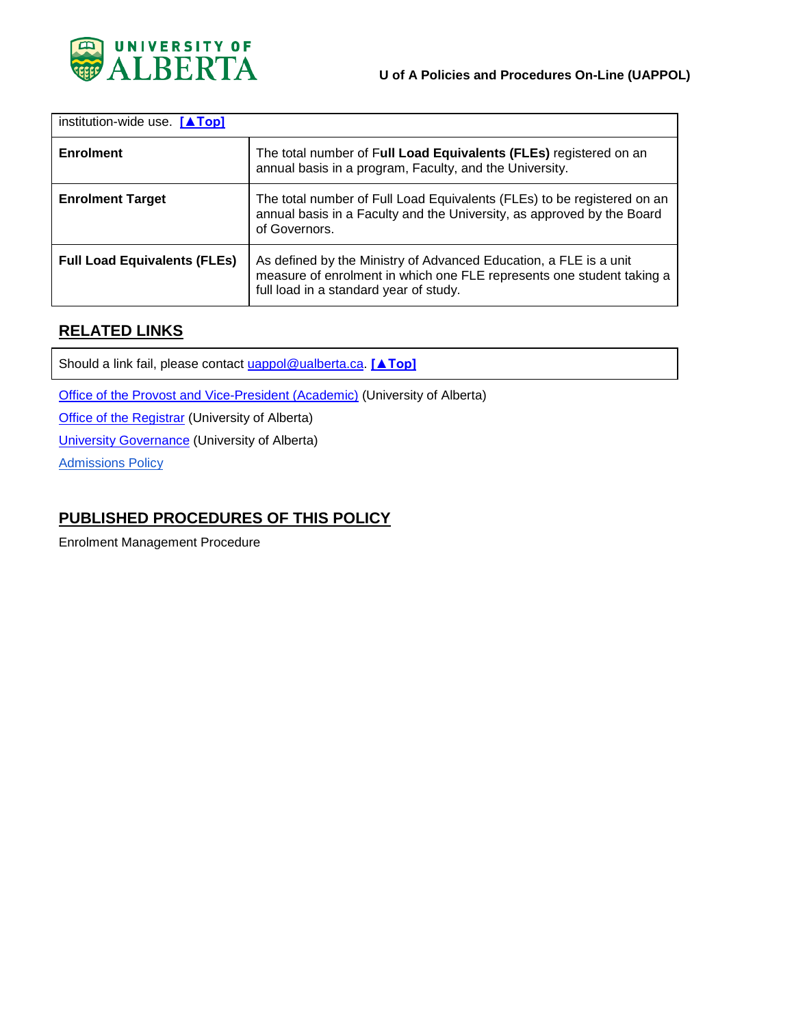

| institution-wide use. $[ATop]$      |                                                                                                                                                                                      |
|-------------------------------------|--------------------------------------------------------------------------------------------------------------------------------------------------------------------------------------|
| <b>Enrolment</b>                    | The total number of Full Load Equivalents (FLEs) registered on an<br>annual basis in a program, Faculty, and the University.                                                         |
| <b>Enrolment Target</b>             | The total number of Full Load Equivalents (FLEs) to be registered on an<br>annual basis in a Faculty and the University, as approved by the Board<br>of Governors.                   |
| <b>Full Load Equivalents (FLEs)</b> | As defined by the Ministry of Advanced Education, a FLE is a unit<br>measure of enrolment in which one FLE represents one student taking a<br>full load in a standard year of study. |

### **RELATED LINKS**

Should a link fail, please contact [uappol@ualberta.ca.](mailto:uappol@ualberta.ca) **[▲Top]**

[Office of the Provost and Vice-President \(Academic\)](http://www.provost.ualberta.ca/) (University of Alberta)

**[Office of the Registrar](http://www.registrarsoffice.ualberta.ca/) (University of Alberta)** 

[University Governance](http://governance.ualberta.ca/) (University of Alberta)

**[Admissions Policy](https://policiesonline.ualberta.ca/policiesprocedures/policies/admissions-policy.pdf)** 

### **PUBLISHED PROCEDURES OF THIS POLICY**

Enrolment Management Procedure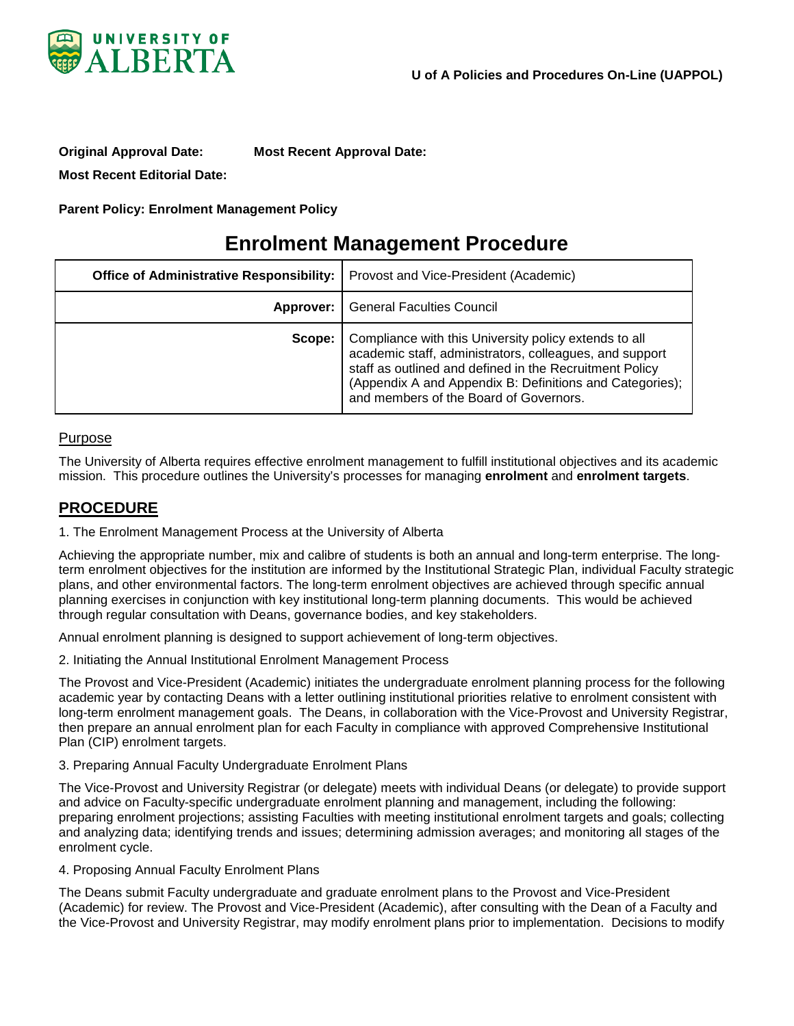

**Original Approval Date: Most Recent Approval Date: Most Recent Editorial Date:**

**Parent Policy: Enrolment Management Policy** 

# **Enrolment Management Procedure**

| <b>Office of Administrative Responsibility:</b> | Provost and Vice-President (Academic)                                                                                                                                                                                                                                             |
|-------------------------------------------------|-----------------------------------------------------------------------------------------------------------------------------------------------------------------------------------------------------------------------------------------------------------------------------------|
|                                                 | <b>Approver:</b>   General Faculties Council                                                                                                                                                                                                                                      |
| Scope:                                          | Compliance with this University policy extends to all<br>academic staff, administrators, colleagues, and support<br>staff as outlined and defined in the Recruitment Policy<br>(Appendix A and Appendix B: Definitions and Categories);<br>and members of the Board of Governors. |

#### Purpose

The University of Alberta requires effective enrolment management to fulfill institutional objectives and its academic mission. This procedure outlines the University's processes for managing **enrolment** and **enrolment targets**.

#### **PROCEDURE**

1. The Enrolment Management Process at the University of Alberta

Achieving the appropriate number, mix and calibre of students is both an annual and long-term enterprise. The longterm enrolment objectives for the institution are informed by the Institutional Strategic Plan, individual Faculty strategic plans, and other environmental factors. The long-term enrolment objectives are achieved through specific annual planning exercises in conjunction with key institutional long-term planning documents. This would be achieved through regular consultation with Deans, governance bodies, and key stakeholders.

Annual enrolment planning is designed to support achievement of long-term objectives.

2. Initiating the Annual Institutional Enrolment Management Process

The Provost and Vice-President (Academic) initiates the undergraduate enrolment planning process for the following academic year by contacting Deans with a letter outlining institutional priorities relative to enrolment consistent with long-term enrolment management goals. The Deans, in collaboration with the Vice-Provost and University Registrar, then prepare an annual enrolment plan for each Faculty in compliance with approved Comprehensive Institutional Plan (CIP) enrolment targets.

3. Preparing Annual Faculty Undergraduate Enrolment Plans

The Vice-Provost and University Registrar (or delegate) meets with individual Deans (or delegate) to provide support and advice on Faculty-specific undergraduate enrolment planning and management, including the following: preparing enrolment projections; assisting Faculties with meeting institutional enrolment targets and goals; collecting and analyzing data; identifying trends and issues; determining admission averages; and monitoring all stages of the enrolment cycle.

4. Proposing Annual Faculty Enrolment Plans

The Deans submit Faculty undergraduate and graduate enrolment plans to the Provost and Vice-President (Academic) for review. The Provost and Vice-President (Academic), after consulting with the Dean of a Faculty and the Vice-Provost and University Registrar, may modify enrolment plans prior to implementation. Decisions to modify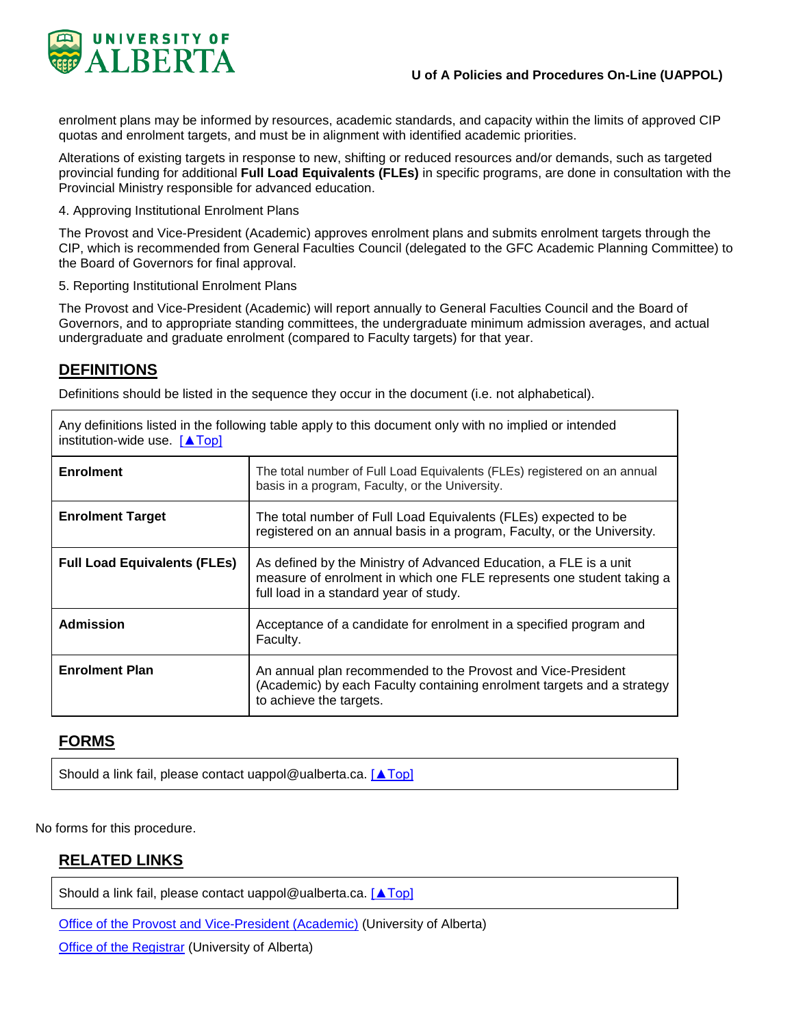

enrolment plans may be informed by resources, academic standards, and capacity within the limits of approved CIP quotas and enrolment targets, and must be in alignment with identified academic priorities.

Alterations of existing targets in response to new, shifting or reduced resources and/or demands, such as targeted provincial funding for additional **Full Load Equivalents (FLEs)** in specific programs, are done in consultation with the Provincial Ministry responsible for advanced education.

4. Approving Institutional Enrolment Plans

The Provost and Vice-President (Academic) approves enrolment plans and submits enrolment targets through the CIP, which is recommended from General Faculties Council (delegated to the GFC Academic Planning Committee) to the Board of Governors for final approval.

5. Reporting Institutional Enrolment Plans

The Provost and Vice-President (Academic) will report annually to General Faculties Council and the Board of Governors, and to appropriate standing committees, the undergraduate minimum admission averages, and actual undergraduate and graduate enrolment (compared to Faculty targets) for that year.

### **DEFINITIONS**

Definitions should be listed in the sequence they occur in the document (i.e. not alphabetical).

Any definitions listed in the following table apply to this document only with no implied or intended

| institution-wide use. $[$ $\triangle$ Top] |                                                                                                                                                                                      |
|--------------------------------------------|--------------------------------------------------------------------------------------------------------------------------------------------------------------------------------------|
| <b>Enrolment</b>                           | The total number of Full Load Equivalents (FLEs) registered on an annual<br>basis in a program, Faculty, or the University.                                                          |
| <b>Enrolment Target</b>                    | The total number of Full Load Equivalents (FLEs) expected to be<br>registered on an annual basis in a program, Faculty, or the University.                                           |
| <b>Full Load Equivalents (FLEs)</b>        | As defined by the Ministry of Advanced Education, a FLE is a unit<br>measure of enrolment in which one FLE represents one student taking a<br>full load in a standard year of study. |
| <b>Admission</b>                           | Acceptance of a candidate for enrolment in a specified program and<br>Faculty.                                                                                                       |
| <b>Enrolment Plan</b>                      | An annual plan recommended to the Provost and Vice-President<br>(Academic) by each Faculty containing enrolment targets and a strategy<br>to achieve the targets.                    |

### **FORMS**

Should a link fail, please contact [uappol@ualberta.ca.](mailto:uappol@ualberta.ca) [▲Top]

No forms for this procedure.

### **RELATED LINKS**

Should a link fail, please contact [uappol@ualberta.ca.](mailto:uappol@ualberta.ca) [**△Top**]

[Office of the Provost and Vice-President \(Academic\)](http://www.provost.ualberta.ca/) (University of Alberta)

[Office of the Registrar](http://www.registrarsoffice.ualberta.ca/) (University of Alberta)